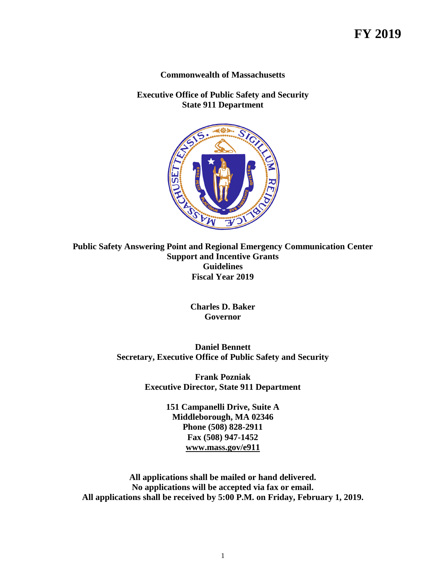#### **Commonwealth of Massachusetts**

**Executive Office of Public Safety and Security State 911 Department**



**Public Safety Answering Point and Regional Emergency Communication Center Support and Incentive Grants Guidelines Fiscal Year 2019**

> **Charles D. Baker Governor**

**Daniel Bennett Secretary, Executive Office of Public Safety and Security**

> **Frank Pozniak Executive Director, State 911 Department**

> > **151 Campanelli Drive, Suite A Middleborough, MA 02346 Phone (508) 828-2911 Fax (508) 947-1452 [www.mass.gov/e911](http://www.mass.gov/e911)**

**All applications shall be mailed or hand delivered. No applications will be accepted via fax or email. All applications shall be received by 5:00 P.M. on Friday, February 1, 2019.**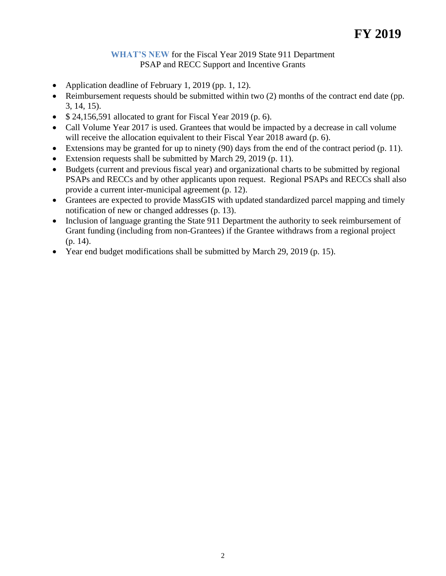## **WHAT'S NEW** for the Fiscal Year 2019 State 911 Department PSAP and RECC Support and Incentive Grants

- Application deadline of February 1, 2019 (pp. 1, 12).
- Reimbursement requests should be submitted within two (2) months of the contract end date (pp. 3, 14, 15).
- $\bullet$  \$ 24,156,591 allocated to grant for Fiscal Year 2019 (p. 6).
- Call Volume Year 2017 is used. Grantees that would be impacted by a decrease in call volume will receive the allocation equivalent to their Fiscal Year 2018 award (p. 6).
- Extensions may be granted for up to ninety  $(90)$  days from the end of the contract period  $(p. 11)$ .
- Extension requests shall be submitted by March 29, 2019 (p. 11).
- Budgets (current and previous fiscal year) and organizational charts to be submitted by regional PSAPs and RECCs and by other applicants upon request. Regional PSAPs and RECCs shall also provide a current inter-municipal agreement (p. 12).
- Grantees are expected to provide MassGIS with updated standardized parcel mapping and timely notification of new or changed addresses (p. 13).
- Inclusion of language granting the State 911 Department the authority to seek reimbursement of Grant funding (including from non-Grantees) if the Grantee withdraws from a regional project (p. 14).
- Year end budget modifications shall be submitted by March 29, 2019 (p. 15).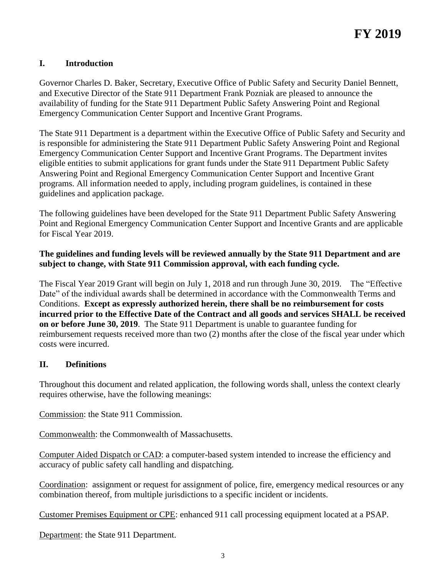## **I. Introduction**

Governor Charles D. Baker, Secretary, Executive Office of Public Safety and Security Daniel Bennett, and Executive Director of the State 911 Department Frank Pozniak are pleased to announce the availability of funding for the State 911 Department Public Safety Answering Point and Regional Emergency Communication Center Support and Incentive Grant Programs.

The State 911 Department is a department within the Executive Office of Public Safety and Security and is responsible for administering the State 911 Department Public Safety Answering Point and Regional Emergency Communication Center Support and Incentive Grant Programs. The Department invites eligible entities to submit applications for grant funds under the State 911 Department Public Safety Answering Point and Regional Emergency Communication Center Support and Incentive Grant programs. All information needed to apply, including program guidelines, is contained in these guidelines and application package.

The following guidelines have been developed for the State 911 Department Public Safety Answering Point and Regional Emergency Communication Center Support and Incentive Grants and are applicable for Fiscal Year 2019.

### **The guidelines and funding levels will be reviewed annually by the State 911 Department and are subject to change, with State 911 Commission approval, with each funding cycle.**

The Fiscal Year 2019 Grant will begin on July 1, 2018 and run through June 30, 2019. The "Effective Date" of the individual awards shall be determined in accordance with the Commonwealth Terms and Conditions. **Except as expressly authorized herein, there shall be no reimbursement for costs incurred prior to the Effective Date of the Contract and all goods and services SHALL be received on or before June 30, 2019**. The State 911 Department is unable to guarantee funding for reimbursement requests received more than two (2) months after the close of the fiscal year under which costs were incurred.

#### **II. Definitions**

Throughout this document and related application, the following words shall, unless the context clearly requires otherwise, have the following meanings:

Commission: the State 911 Commission.

Commonwealth: the Commonwealth of Massachusetts.

Computer Aided Dispatch or CAD: a computer-based system intended to increase the efficiency and accuracy of public safety call handling and dispatching.

Coordination: assignment or request for assignment of police, fire, emergency medical resources or any combination thereof, from multiple jurisdictions to a specific incident or incidents.

Customer Premises Equipment or CPE: enhanced 911 call processing equipment located at a PSAP.

Department: the State 911 Department.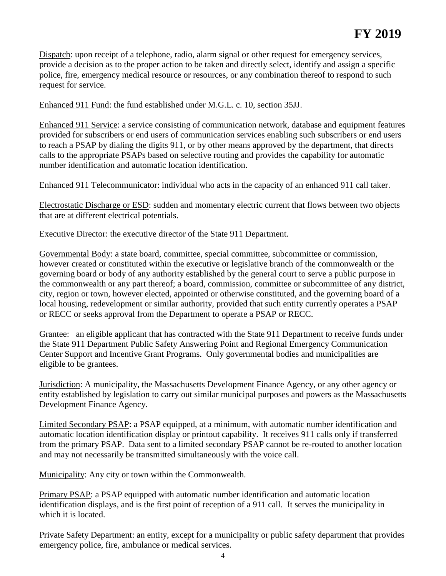Dispatch: upon receipt of a telephone, radio, alarm signal or other request for emergency services, provide a decision as to the proper action to be taken and directly select, identify and assign a specific police, fire, emergency medical resource or resources, or any combination thereof to respond to such request for service.

Enhanced 911 Fund: the fund established under M.G.L. c. 10, section 35JJ.

Enhanced 911 Service: a service consisting of communication network, database and equipment features provided for subscribers or end users of communication services enabling such subscribers or end users to reach a PSAP by dialing the digits 911, or by other means approved by the department, that directs calls to the appropriate PSAPs based on selective routing and provides the capability for automatic number identification and automatic location identification.

Enhanced 911 Telecommunicator: individual who acts in the capacity of an enhanced 911 call taker.

Electrostatic Discharge or ESD: sudden and momentary electric current that flows between two objects that are at different electrical potentials.

Executive Director: the executive director of the State 911 Department.

Governmental Body: a state board, committee, special committee, subcommittee or commission, however created or constituted within the executive or legislative branch of the commonwealth or the governing board or body of any authority established by the general court to serve a public purpose in the commonwealth or any part thereof; a board, commission, committee or subcommittee of any district, city, region or town, however elected, appointed or otherwise constituted, and the governing board of a local housing, redevelopment or similar authority, provided that such entity currently operates a PSAP or RECC or seeks approval from the Department to operate a PSAP or RECC.

Grantee: an eligible applicant that has contracted with the State 911 Department to receive funds under the State 911 Department Public Safety Answering Point and Regional Emergency Communication Center Support and Incentive Grant Programs. Only governmental bodies and municipalities are eligible to be grantees.

Jurisdiction: A municipality, the Massachusetts Development Finance Agency, or any other agency or entity established by legislation to carry out similar municipal purposes and powers as the Massachusetts Development Finance Agency.

Limited Secondary PSAP: a PSAP equipped, at a minimum, with automatic number identification and automatic location identification display or printout capability. It receives 911 calls only if transferred from the primary PSAP. Data sent to a limited secondary PSAP cannot be re-routed to another location and may not necessarily be transmitted simultaneously with the voice call.

Municipality: Any city or town within the Commonwealth.

Primary PSAP: a PSAP equipped with automatic number identification and automatic location identification displays, and is the first point of reception of a 911 call. It serves the municipality in which it is located.

Private Safety Department: an entity, except for a municipality or public safety department that provides emergency police, fire, ambulance or medical services.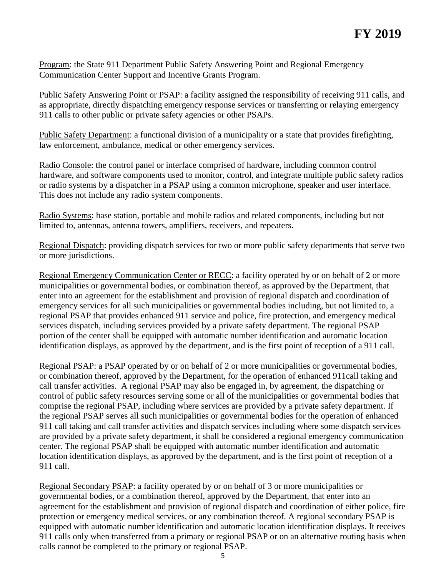Program: the State 911 Department Public Safety Answering Point and Regional Emergency Communication Center Support and Incentive Grants Program.

Public Safety Answering Point or PSAP: a facility assigned the responsibility of receiving 911 calls, and as appropriate, directly dispatching emergency response services or transferring or relaying emergency 911 calls to other public or private safety agencies or other PSAPs.

Public Safety Department: a functional division of a municipality or a state that provides firefighting, law enforcement, ambulance, medical or other emergency services.

Radio Console: the control panel or interface comprised of hardware, including common control hardware, and software components used to monitor, control, and integrate multiple public safety radios or radio systems by a dispatcher in a PSAP using a common microphone, speaker and user interface. This does not include any radio system components.

Radio Systems: base station, portable and mobile radios and related components, including but not limited to, antennas, antenna towers, amplifiers, receivers, and repeaters.

Regional Dispatch: providing dispatch services for two or more public safety departments that serve two or more jurisdictions.

Regional Emergency Communication Center or RECC: a facility operated by or on behalf of 2 or more municipalities or governmental bodies, or combination thereof, as approved by the Department, that enter into an agreement for the establishment and provision of regional dispatch and coordination of emergency services for all such municipalities or governmental bodies including, but not limited to, a regional PSAP that provides enhanced 911 service and police, fire protection, and emergency medical services dispatch, including services provided by a private safety department. The regional PSAP portion of the center shall be equipped with automatic number identification and automatic location identification displays, as approved by the department, and is the first point of reception of a 911 call.

Regional PSAP: a PSAP operated by or on behalf of 2 or more municipalities or governmental bodies, or combination thereof, approved by the Department, for the operation of enhanced 911call taking and call transfer activities. A regional PSAP may also be engaged in, by agreement, the dispatching or control of public safety resources serving some or all of the municipalities or governmental bodies that comprise the regional PSAP, including where services are provided by a private safety department. If the regional PSAP serves all such municipalities or governmental bodies for the operation of enhanced 911 call taking and call transfer activities and dispatch services including where some dispatch services are provided by a private safety department, it shall be considered a regional emergency communication center. The regional PSAP shall be equipped with automatic number identification and automatic location identification displays, as approved by the department, and is the first point of reception of a 911 call.

Regional Secondary PSAP: a facility operated by or on behalf of 3 or more municipalities or governmental bodies, or a combination thereof, approved by the Department, that enter into an agreement for the establishment and provision of regional dispatch and coordination of either police, fire protection or emergency medical services, or any combination thereof. A regional secondary PSAP is equipped with automatic number identification and automatic location identification displays. It receives 911 calls only when transferred from a primary or regional PSAP or on an alternative routing basis when calls cannot be completed to the primary or regional PSAP.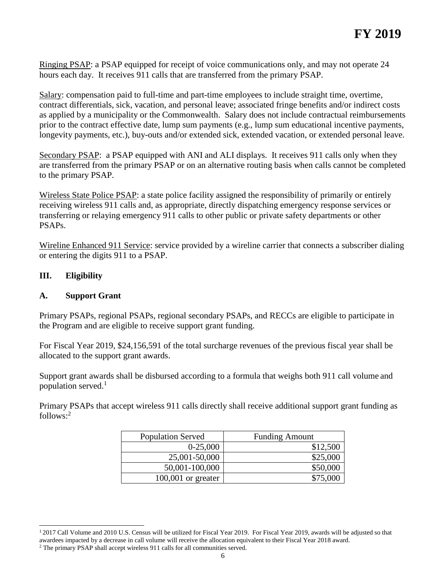Ringing PSAP: a PSAP equipped for receipt of voice communications only, and may not operate 24 hours each day. It receives 911 calls that are transferred from the primary PSAP.

Salary: compensation paid to full-time and part-time employees to include straight time, overtime, contract differentials, sick, vacation, and personal leave; associated fringe benefits and/or indirect costs as applied by a municipality or the Commonwealth. Salary does not include contractual reimbursements prior to the contract effective date, lump sum payments (e.g., lump sum educational incentive payments, longevity payments, etc.), buy-outs and/or extended sick, extended vacation, or extended personal leave.

Secondary PSAP: a PSAP equipped with ANI and ALI displays. It receives 911 calls only when they are transferred from the primary PSAP or on an alternative routing basis when calls cannot be completed to the primary PSAP.

Wireless State Police PSAP: a state police facility assigned the responsibility of primarily or entirely receiving wireless 911 calls and, as appropriate, directly dispatching emergency response services or transferring or relaying emergency 911 calls to other public or private safety departments or other PSAPs.

Wireline Enhanced 911 Service: service provided by a wireline carrier that connects a subscriber dialing or entering the digits 911 to a PSAP.

## **III. Eligibility**

 $\overline{a}$ 

#### **A. Support Grant**

Primary PSAPs, regional PSAPs, regional secondary PSAPs, and RECCs are eligible to participate in the Program and are eligible to receive support grant funding.

For Fiscal Year 2019, \$24,156,591 of the total surcharge revenues of the previous fiscal year shall be allocated to the support grant awards.

Support grant awards shall be disbursed according to a formula that weighs both 911 call volume and population served. $<sup>1</sup>$ </sup>

Primary PSAPs that accept wireless 911 calls directly shall receive additional support grant funding as follows: 2

| <b>Population Served</b> | <b>Funding Amount</b> |
|--------------------------|-----------------------|
| $0-25,000$               | \$12,500              |
| 25,001-50,000            | \$25,000              |
| 50,001-100,000           | \$50,000              |
| $100,001$ or greater     | \$75,000              |

<sup>&</sup>lt;sup>1</sup> 2017 Call Volume and 2010 U.S. Census will be utilized for Fiscal Year 2019. For Fiscal Year 2019, awards will be adjusted so that awardees impacted by a decrease in call volume will receive the allocation equivalent to their Fiscal Year 2018 award.

<sup>&</sup>lt;sup>2</sup> The primary PSAP shall accept wireless 911 calls for all communities served.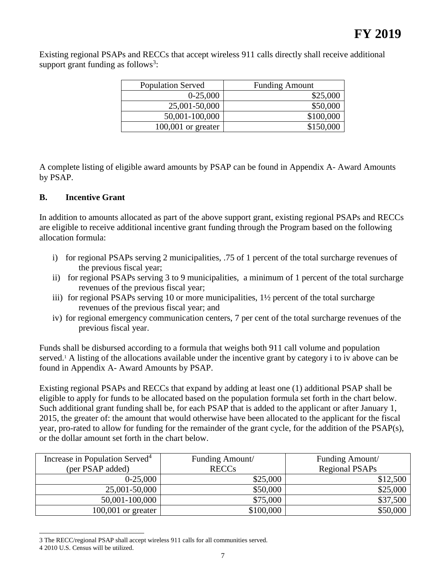Existing regional PSAPs and RECCs that accept wireless 911 calls directly shall receive additional support grant funding as follows<sup>3</sup>:

| <b>Population Served</b> | <b>Funding Amount</b> |
|--------------------------|-----------------------|
| $0-25,000$               | \$25,000              |
| 25,001-50,000            | \$50,000              |
| 50,001-100,000           | \$100,000             |
| $100,001$ or greater     | \$150,000             |

A complete listing of eligible award amounts by PSAP can be found in Appendix A- Award Amounts by PSAP.

### **B. Incentive Grant**

In addition to amounts allocated as part of the above support grant, existing regional PSAPs and RECCs are eligible to receive additional incentive grant funding through the Program based on the following allocation formula:

- i) for regional PSAPs serving 2 municipalities, .75 of 1 percent of the total surcharge revenues of the previous fiscal year;
- ii) for regional PSAPs serving 3 to 9 municipalities, a minimum of 1 percent of the total surcharge revenues of the previous fiscal year;
- iii) for regional PSAPs serving 10 or more municipalities, 1½ percent of the total surcharge revenues of the previous fiscal year; and
- iv) for regional emergency communication centers, 7 per cent of the total surcharge revenues of the previous fiscal year.

Funds shall be disbursed according to a formula that weighs both 911 call volume and population served.<sup>1</sup> A listing of the allocations available under the incentive grant by category i to iv above can be found in Appendix A- Award Amounts by PSAP.

Existing regional PSAPs and RECCs that expand by adding at least one (1) additional PSAP shall be eligible to apply for funds to be allocated based on the population formula set forth in the chart below. Such additional grant funding shall be, for each PSAP that is added to the applicant or after January 1, 2015, the greater of: the amount that would otherwise have been allocated to the applicant for the fiscal year, pro-rated to allow for funding for the remainder of the grant cycle, for the addition of the PSAP(s), or the dollar amount set forth in the chart below.

| Increase in Population Served <sup>4</sup> | Funding Amount/ | Funding Amount/       |  |
|--------------------------------------------|-----------------|-----------------------|--|
| (per PSAP added)                           | <b>RECCs</b>    | <b>Regional PSAPs</b> |  |
| $0-25,000$                                 | \$25,000        | \$12,500              |  |
| 25,001-50,000                              | \$50,000        | \$25,000              |  |
| 50,001-100,000                             | \$75,000        | \$37,500              |  |
| $100,001$ or greater                       | \$100,000       | \$50,000              |  |

l 3 The RECC/regional PSAP shall accept wireless 911 calls for all communities served.

<sup>4</sup> 2010 U.S. Census will be utilized.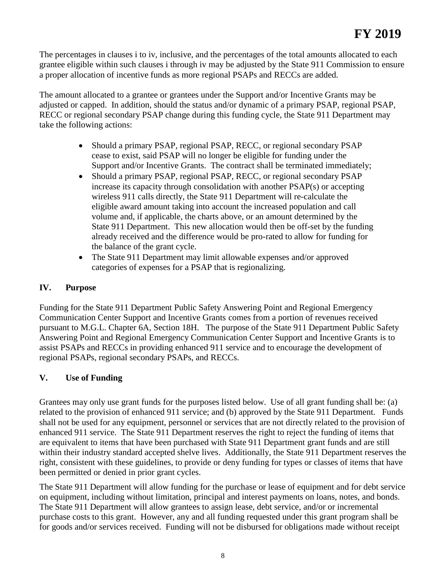The percentages in clauses i to iv, inclusive, and the percentages of the total amounts allocated to each grantee eligible within such clauses i through iv may be adjusted by the State 911 Commission to ensure a proper allocation of incentive funds as more regional PSAPs and RECCs are added.

The amount allocated to a grantee or grantees under the Support and/or Incentive Grants may be adjusted or capped. In addition, should the status and/or dynamic of a primary PSAP, regional PSAP, RECC or regional secondary PSAP change during this funding cycle, the State 911 Department may take the following actions:

- Should a primary PSAP, regional PSAP, RECC, or regional secondary PSAP cease to exist, said PSAP will no longer be eligible for funding under the Support and/or Incentive Grants. The contract shall be terminated immediately;
- Should a primary PSAP, regional PSAP, RECC, or regional secondary PSAP increase its capacity through consolidation with another PSAP(s) or accepting wireless 911 calls directly, the State 911 Department will re-calculate the eligible award amount taking into account the increased population and call volume and, if applicable, the charts above, or an amount determined by the State 911 Department. This new allocation would then be off-set by the funding already received and the difference would be pro-rated to allow for funding for the balance of the grant cycle.
- The State 911 Department may limit allowable expenses and/or approved categories of expenses for a PSAP that is regionalizing.

## **IV. Purpose**

Funding for the State 911 Department Public Safety Answering Point and Regional Emergency Communication Center Support and Incentive Grants comes from a portion of revenues received pursuant to M.G.L. Chapter 6A, Section 18H. The purpose of the State 911 Department Public Safety Answering Point and Regional Emergency Communication Center Support and Incentive Grants is to assist PSAPs and RECCs in providing enhanced 911 service and to encourage the development of regional PSAPs, regional secondary PSAPs, and RECCs.

## **V. Use of Funding**

Grantees may only use grant funds for the purposes listed below. Use of all grant funding shall be: (a) related to the provision of enhanced 911 service; and (b) approved by the State 911 Department. Funds shall not be used for any equipment, personnel or services that are not directly related to the provision of enhanced 911 service. The State 911 Department reserves the right to reject the funding of items that are equivalent to items that have been purchased with State 911 Department grant funds and are still within their industry standard accepted shelve lives. Additionally, the State 911 Department reserves the right, consistent with these guidelines, to provide or deny funding for types or classes of items that have been permitted or denied in prior grant cycles.

The State 911 Department will allow funding for the purchase or lease of equipment and for debt service on equipment, including without limitation, principal and interest payments on loans, notes, and bonds. The State 911 Department will allow grantees to assign lease, debt service, and/or or incremental purchase costs to this grant. However, any and all funding requested under this grant program shall be for goods and/or services received. Funding will not be disbursed for obligations made without receipt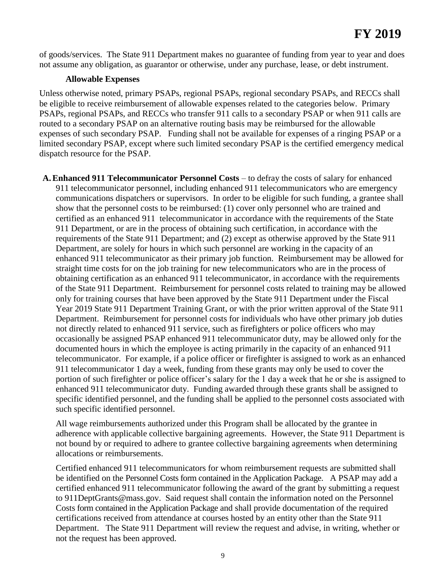of goods/services. The State 911 Department makes no guarantee of funding from year to year and does not assume any obligation, as guarantor or otherwise, under any purchase, lease, or debt instrument.

#### **Allowable Expenses**

Unless otherwise noted, primary PSAPs, regional PSAPs, regional secondary PSAPs, and RECCs shall be eligible to receive reimbursement of allowable expenses related to the categories below. Primary PSAPs, regional PSAPs, and RECCs who transfer 911 calls to a secondary PSAP or when 911 calls are routed to a secondary PSAP on an alternative routing basis may be reimbursed for the allowable expenses of such secondary PSAP. Funding shall not be available for expenses of a ringing PSAP or a limited secondary PSAP, except where such limited secondary PSAP is the certified emergency medical dispatch resource for the PSAP.

**A.Enhanced 911 Telecommunicator Personnel Costs** – to defray the costs of salary for enhanced 911 telecommunicator personnel, including enhanced 911 telecommunicators who are emergency communications dispatchers or supervisors. In order to be eligible for such funding, a grantee shall show that the personnel costs to be reimbursed: (1) cover only personnel who are trained and certified as an enhanced 911 telecommunicator in accordance with the requirements of the State 911 Department, or are in the process of obtaining such certification, in accordance with the requirements of the State 911 Department; and (2) except as otherwise approved by the State 911 Department, are solely for hours in which such personnel are working in the capacity of an enhanced 911 telecommunicator as their primary job function. Reimbursement may be allowed for straight time costs for on the job training for new telecommunicators who are in the process of obtaining certification as an enhanced 911 telecommunicator, in accordance with the requirements of the State 911 Department. Reimbursement for personnel costs related to training may be allowed only for training courses that have been approved by the State 911 Department under the Fiscal Year 2019 State 911 Department Training Grant, or with the prior written approval of the State 911 Department. Reimbursement for personnel costs for individuals who have other primary job duties not directly related to enhanced 911 service, such as firefighters or police officers who may occasionally be assigned PSAP enhanced 911 telecommunicator duty, may be allowed only for the documented hours in which the employee is acting primarily in the capacity of an enhanced 911 telecommunicator. For example, if a police officer or firefighter is assigned to work as an enhanced 911 telecommunicator 1 day a week, funding from these grants may only be used to cover the portion of such firefighter or police officer's salary for the 1 day a week that he or she is assigned to enhanced 911 telecommunicator duty. Funding awarded through these grants shall be assigned to specific identified personnel, and the funding shall be applied to the personnel costs associated with such specific identified personnel.

All wage reimbursements authorized under this Program shall be allocated by the grantee in adherence with applicable collective bargaining agreements. However, the State 911 Department is not bound by or required to adhere to grantee collective bargaining agreements when determining allocations or reimbursements.

Certified enhanced 911 telecommunicators for whom reimbursement requests are submitted shall be identified on the Personnel Costs form contained in the Application Package. A PSAP may add a certified enhanced 911 telecommunicator following the award of the grant by submitting a request to 911DeptGrants@mass.gov. Said request shall contain the information noted on the Personnel Costs form contained in the Application Package and shall provide documentation of the required certifications received from attendance at courses hosted by an entity other than the State 911 Department. The State 911 Department will review the request and advise, in writing, whether or not the request has been approved.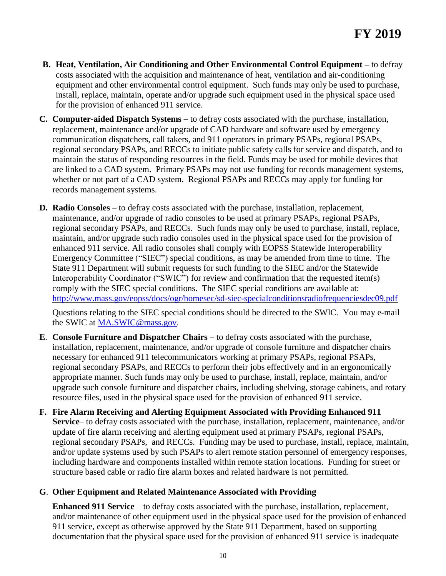- **B. Heat, Ventilation, Air Conditioning and Other Environmental Control Equipment –** to defray costs associated with the acquisition and maintenance of heat, ventilation and air-conditioning equipment and other environmental control equipment. Such funds may only be used to purchase, install, replace, maintain, operate and/or upgrade such equipment used in the physical space used for the provision of enhanced 911 service.
- **C. Computer-aided Dispatch Systems –** to defray costs associated with the purchase, installation, replacement, maintenance and/or upgrade of CAD hardware and software used by emergency communication dispatchers, call takers, and 911 operators in primary PSAPs, regional PSAPs, regional secondary PSAPs, and RECCs to initiate public safety calls for service and dispatch, and to maintain the status of responding resources in the field. Funds may be used for mobile devices that are linked to a CAD system. Primary PSAPs may not use funding for records management systems, whether or not part of a CAD system. Regional PSAPs and RECCs may apply for funding for records management systems.
- **D. Radio Consoles** to defray costs associated with the purchase, installation, replacement, maintenance, and/or upgrade of radio consoles to be used at primary PSAPs, regional PSAPs, regional secondary PSAPs, and RECCs. Such funds may only be used to purchase, install, replace, maintain, and/or upgrade such radio consoles used in the physical space used for the provision of enhanced 911 service. All radio consoles shall comply with EOPSS Statewide Interoperability Emergency Committee ("SIEC") special conditions, as may be amended from time to time. The State 911 Department will submit requests for such funding to the SIEC and/or the Statewide Interoperability Coordinator ("SWIC") for review and confirmation that the requested item(s) comply with the SIEC special conditions. The SIEC special conditions are available at: <http://www.mass.gov/eopss/docs/ogr/homesec/sd-siec-specialconditionsradiofrequenciesdec09.pdf>

Questions relating to the SIEC special conditions should be directed to the SWIC. You may e-mail the SWIC at [MA.SWIC@mass.gov.](mailto:MA.SWIC@mass.gov)

- **E.** Console Furniture and Dispatcher Chairs to defray costs associated with the purchase, installation, replacement, maintenance, and/or upgrade of console furniture and dispatcher chairs necessary for enhanced 911 telecommunicators working at primary PSAPs, regional PSAPs, regional secondary PSAPs, and RECCs to perform their jobs effectively and in an ergonomically appropriate manner. Such funds may only be used to purchase, install, replace, maintain, and/or upgrade such console furniture and dispatcher chairs, including shelving, storage cabinets, and rotary resource files, used in the physical space used for the provision of enhanced 911 service.
- **F. Fire Alarm Receiving and Alerting Equipment Associated with Providing Enhanced 911 Service**– to defray costs associated with the purchase, installation, replacement, maintenance, and/or update of fire alarm receiving and alerting equipment used at primary PSAPs, regional PSAPs, regional secondary PSAPs, and RECCs. Funding may be used to purchase, install, replace, maintain, and/or update systems used by such PSAPs to alert remote station personnel of emergency responses, including hardware and components installed within remote station locations. Funding for street or structure based cable or radio fire alarm boxes and related hardware is not permitted.

## **G**. **Other Equipment and Related Maintenance Associated with Providing**

**Enhanced 911 Service** – to defray costs associated with the purchase, installation, replacement, and/or maintenance of other equipment used in the physical space used for the provision of enhanced 911 service, except as otherwise approved by the State 911 Department, based on supporting documentation that the physical space used for the provision of enhanced 911 service is inadequate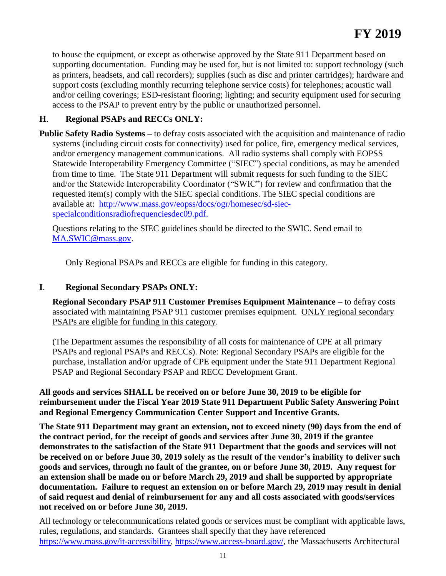to house the equipment, or except as otherwise approved by the State 911 Department based on supporting documentation. Funding may be used for, but is not limited to: support technology (such as printers, headsets, and call recorders); supplies (such as disc and printer cartridges); hardware and support costs (excluding monthly recurring telephone service costs) for telephones; acoustic wall and/or ceiling coverings; ESD-resistant flooring; lighting; and security equipment used for securing access to the PSAP to prevent entry by the public or unauthorized personnel.

## **H**. **Regional PSAPs and RECCs ONLY:**

**Public Safety Radio Systems –** to defray costs associated with the acquisition and maintenance of radio systems (including circuit costs for connectivity) used for police, fire, emergency medical services, and/or emergency management communications. All radio systems shall comply with EOPSS Statewide Interoperability Emergency Committee ("SIEC") special conditions, as may be amended from time to time. The State 911 Department will submit requests for such funding to the SIEC and/or the Statewide Interoperability Coordinator ("SWIC") for review and confirmation that the requested item(s) comply with the SIEC special conditions. The SIEC special conditions are available at: [http://www.mass.gov/eopss/docs/ogr/homesec/sd-siec](http://www.mass.gov/eopss/docs/ogr/homesec/sd-siec-specialconditionsradiofrequenciesdec09.pdf)[specialconditionsradiofrequenciesdec09.pdf.](http://www.mass.gov/eopss/docs/ogr/homesec/sd-siec-specialconditionsradiofrequenciesdec09.pdf)

Questions relating to the SIEC guidelines should be directed to the SWIC. Send email to [MA.SWIC@mass.gov.](mailto:MA.SWIC@mass.gov)

Only Regional PSAPs and RECCs are eligible for funding in this category.

## **I**. **Regional Secondary PSAPs ONLY:**

**Regional Secondary PSAP 911 Customer Premises Equipment Maintenance** – to defray costs associated with maintaining PSAP 911 customer premises equipment. ONLY regional secondary PSAPs are eligible for funding in this category.

(The Department assumes the responsibility of all costs for maintenance of CPE at all primary PSAPs and regional PSAPs and RECCs). Note: Regional Secondary PSAPs are eligible for the purchase, installation and/or upgrade of CPE equipment under the State 911 Department Regional PSAP and Regional Secondary PSAP and RECC Development Grant.

## **All goods and services SHALL be received on or before June 30, 2019 to be eligible for reimbursement under the Fiscal Year 2019 State 911 Department Public Safety Answering Point and Regional Emergency Communication Center Support and Incentive Grants.**

**The State 911 Department may grant an extension, not to exceed ninety (90) days from the end of the contract period, for the receipt of goods and services after June 30, 2019 if the grantee demonstrates to the satisfaction of the State 911 Department that the goods and services will not be received on or before June 30, 2019 solely as the result of the vendor's inability to deliver such goods and services, through no fault of the grantee, on or before June 30, 2019. Any request for an extension shall be made on or before March 29, 2019 and shall be supported by appropriate documentation. Failure to request an extension on or before March 29, 2019 may result in denial of said request and denial of reimbursement for any and all costs associated with goods/services not received on or before June 30, 2019.**

All technology or telecommunications related goods or services must be compliant with applicable laws, rules, regulations, and standards. Grantees shall specify that they have referenced [https://www.mass.gov/it-accessibility,](https://www.mass.gov/it-accessibility) [https://www.access-board.gov/,](https://www.access-board.gov/) the Massachusetts Architectural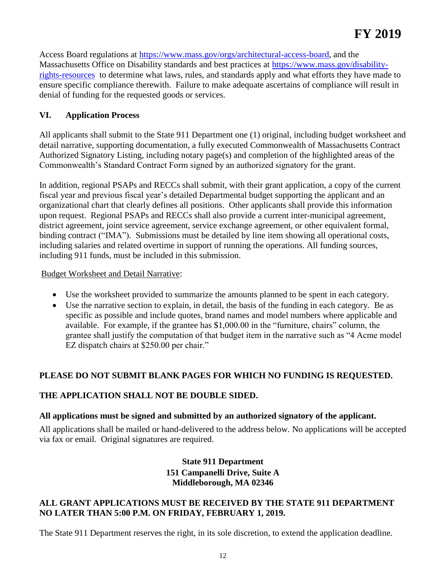Access Board regulations at [https://www.mass.gov/orgs/architectural-access-board,](https://www.mass.gov/orgs/architectural-access-board) and the Massachusetts Office on Disability standards and best practices at [https://www.mass.gov/disability](https://www.mass.gov/disability-rights-resources)[rights-resources](https://www.mass.gov/disability-rights-resources) to determine what laws, rules, and standards apply and what efforts they have made to ensure specific compliance therewith. Failure to make adequate ascertains of compliance will result in denial of funding for the requested goods or services.

## **VI. Application Process**

All applicants shall submit to the State 911 Department one (1) original, including budget worksheet and detail narrative, supporting documentation, a fully executed Commonwealth of Massachusetts Contract Authorized Signatory Listing, including notary page(s) and completion of the highlighted areas of the Commonwealth's Standard Contract Form signed by an authorized signatory for the grant.

In addition, regional PSAPs and RECCs shall submit, with their grant application, a copy of the current fiscal year and previous fiscal year's detailed Departmental budget supporting the applicant and an organizational chart that clearly defines all positions. Other applicants shall provide this information upon request. Regional PSAPs and RECCs shall also provide a current inter-municipal agreement, district agreement, joint service agreement, service exchange agreement, or other equivalent formal, binding contract ("IMA"). Submissions must be detailed by line item showing all operational costs, including salaries and related overtime in support of running the operations. All funding sources, including 911 funds, must be included in this submission.

### Budget Worksheet and Detail Narrative:

- Use the worksheet provided to summarize the amounts planned to be spent in each category.
- Use the narrative section to explain, in detail, the basis of the funding in each category. Be as specific as possible and include quotes, brand names and model numbers where applicable and available. For example, if the grantee has \$1,000.00 in the "furniture, chairs" column, the grantee shall justify the computation of that budget item in the narrative such as "4 Acme model EZ dispatch chairs at \$250.00 per chair."

## **PLEASE DO NOT SUBMIT BLANK PAGES FOR WHICH NO FUNDING IS REQUESTED.**

## **THE APPLICATION SHALL NOT BE DOUBLE SIDED.**

## **All applications must be signed and submitted by an authorized signatory of the applicant.**

All applications shall be mailed or hand-delivered to the address below. No applications will be accepted via fax or email. Original signatures are required.

## **State 911 Department 151 Campanelli Drive, Suite A Middleborough, MA 02346**

### **ALL GRANT APPLICATIONS MUST BE RECEIVED BY THE STATE 911 DEPARTMENT NO LATER THAN 5:00 P.M. ON FRIDAY, FEBRUARY 1, 2019.**

The State 911 Department reserves the right, in its sole discretion, to extend the application deadline.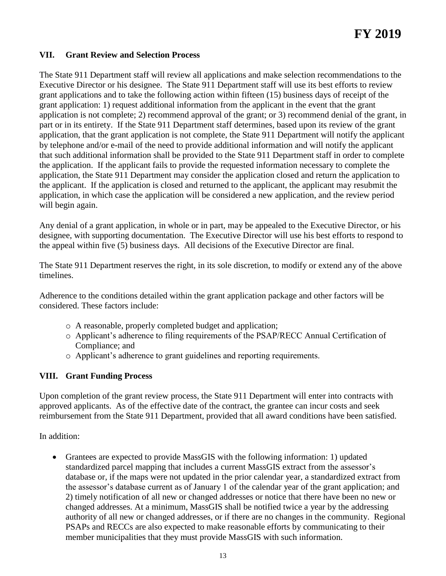### **VII. Grant Review and Selection Process**

The State 911 Department staff will review all applications and make selection recommendations to the Executive Director or his designee. The State 911 Department staff will use its best efforts to review grant applications and to take the following action within fifteen (15) business days of receipt of the grant application: 1) request additional information from the applicant in the event that the grant application is not complete; 2) recommend approval of the grant; or 3) recommend denial of the grant, in part or in its entirety. If the State 911 Department staff determines, based upon its review of the grant application, that the grant application is not complete, the State 911 Department will notify the applicant by telephone and/or e-mail of the need to provide additional information and will notify the applicant that such additional information shall be provided to the State 911 Department staff in order to complete the application. If the applicant fails to provide the requested information necessary to complete the application, the State 911 Department may consider the application closed and return the application to the applicant. If the application is closed and returned to the applicant, the applicant may resubmit the application, in which case the application will be considered a new application, and the review period will begin again.

Any denial of a grant application, in whole or in part, may be appealed to the Executive Director, or his designee, with supporting documentation. The Executive Director will use his best efforts to respond to the appeal within five (5) business days. All decisions of the Executive Director are final.

The State 911 Department reserves the right, in its sole discretion, to modify or extend any of the above timelines.

Adherence to the conditions detailed within the grant application package and other factors will be considered. These factors include:

- o A reasonable, properly completed budget and application;
- o Applicant's adherence to filing requirements of the PSAP/RECC Annual Certification of Compliance; and
- o Applicant's adherence to grant guidelines and reporting requirements.

#### **VIII. Grant Funding Process**

Upon completion of the grant review process, the State 911 Department will enter into contracts with approved applicants. As of the effective date of the contract, the grantee can incur costs and seek reimbursement from the State 911 Department, provided that all award conditions have been satisfied.

In addition:

 Grantees are expected to provide MassGIS with the following information: 1) updated standardized parcel mapping that includes a current MassGIS extract from the assessor's database or, if the maps were not updated in the prior calendar year, a standardized extract from the assessor's database current as of January 1 of the calendar year of the grant application; and 2) timely notification of all new or changed addresses or notice that there have been no new or changed addresses. At a minimum, MassGIS shall be notified twice a year by the addressing authority of all new or changed addresses, or if there are no changes in the community. Regional PSAPs and RECCs are also expected to make reasonable efforts by communicating to their member municipalities that they must provide MassGIS with such information.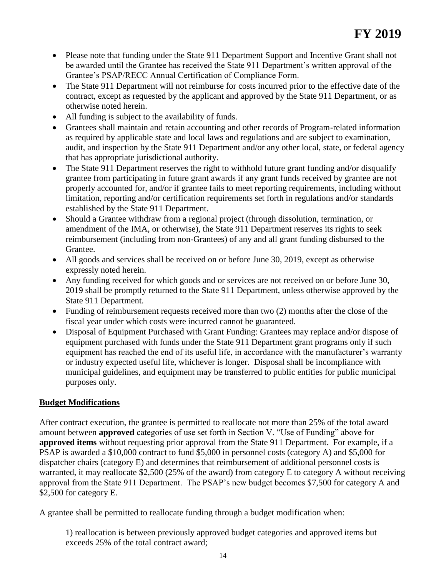- Please note that funding under the State 911 Department Support and Incentive Grant shall not be awarded until the Grantee has received the State 911 Department's written approval of the Grantee's PSAP/RECC Annual Certification of Compliance Form.
- The State 911 Department will not reimburse for costs incurred prior to the effective date of the contract, except as requested by the applicant and approved by the State 911 Department, or as otherwise noted herein.
- All funding is subject to the availability of funds.
- Grantees shall maintain and retain accounting and other records of Program-related information as required by applicable state and local laws and regulations and are subject to examination, audit, and inspection by the State 911 Department and/or any other local, state, or federal agency that has appropriate jurisdictional authority.
- The State 911 Department reserves the right to withhold future grant funding and/or disqualify grantee from participating in future grant awards if any grant funds received by grantee are not properly accounted for, and/or if grantee fails to meet reporting requirements, including without limitation, reporting and/or certification requirements set forth in regulations and/or standards established by the State 911 Department.
- Should a Grantee withdraw from a regional project (through dissolution, termination, or amendment of the IMA, or otherwise), the State 911 Department reserves its rights to seek reimbursement (including from non-Grantees) of any and all grant funding disbursed to the Grantee.
- All goods and services shall be received on or before June 30, 2019, except as otherwise expressly noted herein.
- Any funding received for which goods and or services are not received on or before June 30, 2019 shall be promptly returned to the State 911 Department, unless otherwise approved by the State 911 Department.
- Funding of reimbursement requests received more than two (2) months after the close of the fiscal year under which costs were incurred cannot be guaranteed.
- Disposal of Equipment Purchased with Grant Funding: Grantees may replace and/or dispose of equipment purchased with funds under the State 911 Department grant programs only if such equipment has reached the end of its useful life, in accordance with the manufacturer's warranty or industry expected useful life, whichever is longer. Disposal shall be incompliance with municipal guidelines, and equipment may be transferred to public entities for public municipal purposes only.

## **Budget Modifications**

After contract execution, the grantee is permitted to reallocate not more than 25% of the total award amount between **approved** categories of use set forth in Section V. "Use of Funding" above for **approved items** without requesting prior approval from the State 911 Department. For example, if a PSAP is awarded a \$10,000 contract to fund \$5,000 in personnel costs (category A) and \$5,000 for dispatcher chairs (category E) and determines that reimbursement of additional personnel costs is warranted, it may reallocate \$2,500 (25% of the award) from category E to category A without receiving approval from the State 911 Department. The PSAP's new budget becomes \$7,500 for category A and \$2,500 for category E.

A grantee shall be permitted to reallocate funding through a budget modification when:

1) reallocation is between previously approved budget categories and approved items but exceeds 25% of the total contract award;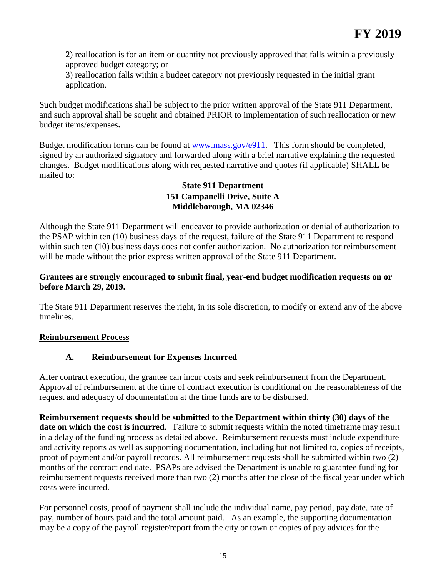2) reallocation is for an item or quantity not previously approved that falls within a previously approved budget category; or

3) reallocation falls within a budget category not previously requested in the initial grant application.

Such budget modifications shall be subject to the prior written approval of the State 911 Department, and such approval shall be sought and obtained PRIOR to implementation of such reallocation or new budget items/expenses**.** 

Budget modification forms can be found at [www.mass.gov/e911.](http://www.mass.gov/e911) This form should be completed, signed by an authorized signatory and forwarded along with a brief narrative explaining the requested changes. Budget modifications along with requested narrative and quotes (if applicable) SHALL be mailed to:

## **State 911 Department 151 Campanelli Drive, Suite A Middleborough, MA 02346**

Although the State 911 Department will endeavor to provide authorization or denial of authorization to the PSAP within ten (10) business days of the request, failure of the State 911 Department to respond within such ten (10) business days does not confer authorization. No authorization for reimbursement will be made without the prior express written approval of the State 911 Department.

## **Grantees are strongly encouraged to submit final, year-end budget modification requests on or before March 29, 2019.**

The State 911 Department reserves the right, in its sole discretion, to modify or extend any of the above timelines.

## **Reimbursement Process**

## **A. Reimbursement for Expenses Incurred**

After contract execution, the grantee can incur costs and seek reimbursement from the Department. Approval of reimbursement at the time of contract execution is conditional on the reasonableness of the request and adequacy of documentation at the time funds are to be disbursed.

**Reimbursement requests should be submitted to the Department within thirty (30) days of the**  date on which the cost is incurred. Failure to submit requests within the noted timeframe may result in a delay of the funding process as detailed above. Reimbursement requests must include expenditure and activity reports as well as supporting documentation, including but not limited to, copies of receipts, proof of payment and/or payroll records. All reimbursement requests shall be submitted within two (2) months of the contract end date. PSAPs are advised the Department is unable to guarantee funding for reimbursement requests received more than two (2) months after the close of the fiscal year under which costs were incurred.

For personnel costs, proof of payment shall include the individual name, pay period, pay date, rate of pay, number of hours paid and the total amount paid. As an example, the supporting documentation may be a copy of the payroll register/report from the city or town or copies of pay advices for the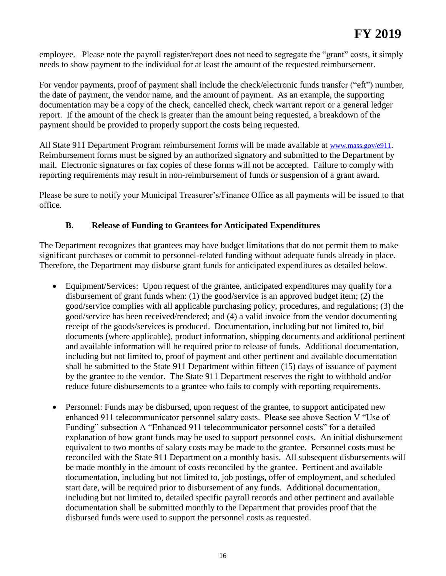employee. Please note the payroll register/report does not need to segregate the "grant" costs, it simply needs to show payment to the individual for at least the amount of the requested reimbursement.

For vendor payments, proof of payment shall include the check/electronic funds transfer ("eft") number, the date of payment, the vendor name, and the amount of payment. As an example, the supporting documentation may be a copy of the check, cancelled check, check warrant report or a general ledger report. If the amount of the check is greater than the amount being requested, a breakdown of the payment should be provided to properly support the costs being requested.

All State 911 Department Program reimbursement forms will be made available at [www.mass.gov/e911](http://www.mass.gov/e911). Reimbursement forms must be signed by an authorized signatory and submitted to the Department by mail. Electronic signatures or fax copies of these forms will not be accepted. Failure to comply with reporting requirements may result in non-reimbursement of funds or suspension of a grant award.

Please be sure to notify your Municipal Treasurer's/Finance Office as all payments will be issued to that office.

## **B. Release of Funding to Grantees for Anticipated Expenditures**

The Department recognizes that grantees may have budget limitations that do not permit them to make significant purchases or commit to personnel-related funding without adequate funds already in place. Therefore, the Department may disburse grant funds for anticipated expenditures as detailed below.

- Equipment/Services: Upon request of the grantee, anticipated expenditures may qualify for a disbursement of grant funds when: (1) the good/service is an approved budget item; (2) the good/service complies with all applicable purchasing policy, procedures, and regulations; (3) the good/service has been received/rendered; and (4) a valid invoice from the vendor documenting receipt of the goods/services is produced. Documentation, including but not limited to, bid documents (where applicable), product information, shipping documents and additional pertinent and available information will be required prior to release of funds. Additional documentation, including but not limited to, proof of payment and other pertinent and available documentation shall be submitted to the State 911 Department within fifteen (15) days of issuance of payment by the grantee to the vendor. The State 911 Department reserves the right to withhold and/or reduce future disbursements to a grantee who fails to comply with reporting requirements.
- Personnel: Funds may be disbursed, upon request of the grantee, to support anticipated new enhanced 911 telecommunicator personnel salary costs. Please see above Section V "Use of Funding" subsection A "Enhanced 911 telecommunicator personnel costs" for a detailed explanation of how grant funds may be used to support personnel costs. An initial disbursement equivalent to two months of salary costs may be made to the grantee. Personnel costs must be reconciled with the State 911 Department on a monthly basis. All subsequent disbursements will be made monthly in the amount of costs reconciled by the grantee. Pertinent and available documentation, including but not limited to, job postings, offer of employment, and scheduled start date, will be required prior to disbursement of any funds. Additional documentation, including but not limited to, detailed specific payroll records and other pertinent and available documentation shall be submitted monthly to the Department that provides proof that the disbursed funds were used to support the personnel costs as requested.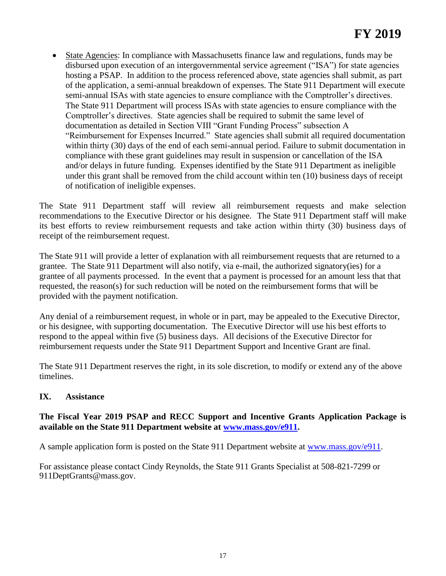State Agencies: In compliance with Massachusetts finance law and regulations, funds may be disbursed upon execution of an intergovernmental service agreement ("ISA") for state agencies hosting a PSAP. In addition to the process referenced above, state agencies shall submit, as part of the application, a semi-annual breakdown of expenses. The State 911 Department will execute semi-annual ISAs with state agencies to ensure compliance with the Comptroller's directives. The State 911 Department will process ISAs with state agencies to ensure compliance with the Comptroller's directives. State agencies shall be required to submit the same level of documentation as detailed in Section VIII "Grant Funding Process" subsection A "Reimbursement for Expenses Incurred." State agencies shall submit all required documentation within thirty (30) days of the end of each semi-annual period. Failure to submit documentation in compliance with these grant guidelines may result in suspension or cancellation of the ISA and/or delays in future funding. Expenses identified by the State 911 Department as ineligible under this grant shall be removed from the child account within ten (10) business days of receipt of notification of ineligible expenses.

The State 911 Department staff will review all reimbursement requests and make selection recommendations to the Executive Director or his designee. The State 911 Department staff will make its best efforts to review reimbursement requests and take action within thirty (30) business days of receipt of the reimbursement request.

The State 911 will provide a letter of explanation with all reimbursement requests that are returned to a grantee. The State 911 Department will also notify, via e-mail, the authorized signatory(ies) for a grantee of all payments processed. In the event that a payment is processed for an amount less that that requested, the reason(s) for such reduction will be noted on the reimbursement forms that will be provided with the payment notification.

Any denial of a reimbursement request, in whole or in part, may be appealed to the Executive Director, or his designee, with supporting documentation. The Executive Director will use his best efforts to respond to the appeal within five (5) business days. All decisions of the Executive Director for reimbursement requests under the State 911 Department Support and Incentive Grant are final.

The State 911 Department reserves the right, in its sole discretion, to modify or extend any of the above timelines.

## **IX. Assistance**

## **The Fiscal Year 2019 PSAP and RECC Support and Incentive Grants Application Package is available on the State 911 Department website at [www.mass.gov/e911.](http://www.mass.gov/e911)**

A sample application form is posted on the State 911 Department website at [www.mass.gov/e911.](http://www.mass.gov/e911)

For assistance please contact Cindy Reynolds, the State 911 Grants Specialist at 508-821-7299 or 911DeptGrants@mass.gov.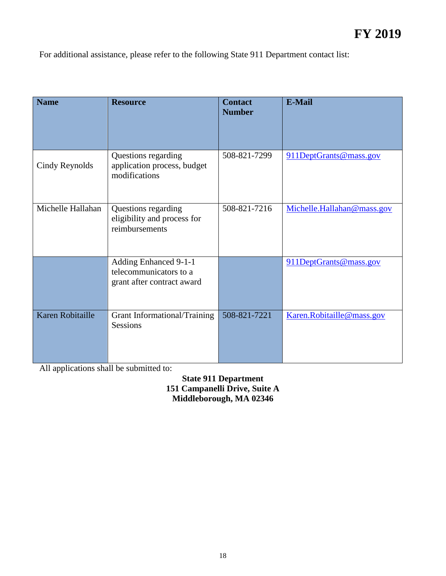For additional assistance, please refer to the following State 911 Department contact list:

| <b>Name</b>       | <b>Resource</b>                                                               | <b>Contact</b><br><b>Number</b> | <b>E-Mail</b>              |
|-------------------|-------------------------------------------------------------------------------|---------------------------------|----------------------------|
| Cindy Reynolds    | Questions regarding<br>application process, budget<br>modifications           | 508-821-7299                    | 911DeptGrants@mass.gov     |
| Michelle Hallahan | Questions regarding<br>eligibility and process for<br>reimbursements          | 508-821-7216                    | Michelle.Hallahan@mass.gov |
|                   | Adding Enhanced 9-1-1<br>telecommunicators to a<br>grant after contract award |                                 | 911DeptGrants@mass.gov     |
| Karen Robitaille  | Grant Informational/Training<br><b>Sessions</b>                               | 508-821-7221                    | Karen.Robitaille@mass.gov  |

All applications shall be submitted to:

**State 911 Department 151 Campanelli Drive, Suite A Middleborough, MA 02346**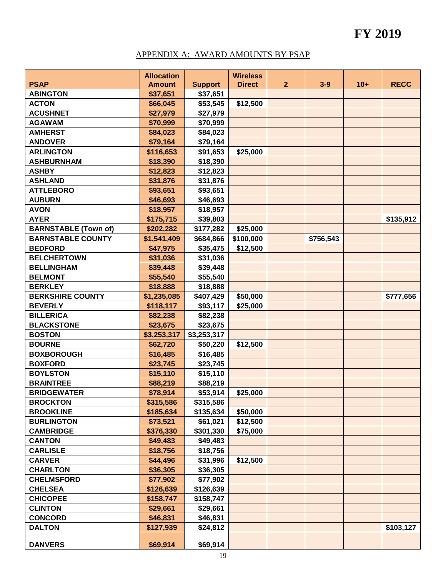## APPENDIX A: AWARD AMOUNTS BY PSAP

|                             | <b>Allocation</b> |                | <b>Wireless</b> |                |           |       |             |
|-----------------------------|-------------------|----------------|-----------------|----------------|-----------|-------|-------------|
| <b>PSAP</b>                 | <b>Amount</b>     | <b>Support</b> | <b>Direct</b>   | $\overline{2}$ | $3-9$     | $10+$ | <b>RECC</b> |
| <b>ABINGTON</b>             | \$37,651          | \$37,651       |                 |                |           |       |             |
| <b>ACTON</b>                | \$66,045          | \$53,545       | \$12,500        |                |           |       |             |
| <b>ACUSHNET</b>             | \$27,979          | \$27,979       |                 |                |           |       |             |
| <b>AGAWAM</b>               | \$70,999          | \$70,999       |                 |                |           |       |             |
| <b>AMHERST</b>              | \$84,023          | \$84,023       |                 |                |           |       |             |
| <b>ANDOVER</b>              | \$79,164          | \$79,164       |                 |                |           |       |             |
| <b>ARLINGTON</b>            | \$116,653         | \$91,653       | \$25,000        |                |           |       |             |
| <b>ASHBURNHAM</b>           | \$18,390          | \$18,390       |                 |                |           |       |             |
| <b>ASHBY</b>                | \$12,823          | \$12,823       |                 |                |           |       |             |
| <b>ASHLAND</b>              | \$31,876          | \$31,876       |                 |                |           |       |             |
| <b>ATTLEBORO</b>            | \$93,651          | \$93,651       |                 |                |           |       |             |
| <b>AUBURN</b>               | \$46,693          | \$46,693       |                 |                |           |       |             |
| <b>AVON</b>                 | \$18,957          | \$18,957       |                 |                |           |       |             |
| <b>AYER</b>                 | \$175,715         | \$39,803       |                 |                |           |       | \$135,912   |
| <b>BARNSTABLE (Town of)</b> | \$202,282         | \$177,282      | \$25,000        |                |           |       |             |
| <b>BARNSTABLE COUNTY</b>    | \$1,541,409       | \$684,866      | \$100,000       |                | \$756,543 |       |             |
| <b>BEDFORD</b>              | \$47,975          | \$35,475       | \$12,500        |                |           |       |             |
| <b>BELCHERTOWN</b>          | \$31,036          | \$31,036       |                 |                |           |       |             |
| <b>BELLINGHAM</b>           | \$39,448          | \$39,448       |                 |                |           |       |             |
| <b>BELMONT</b>              | \$55,540          | \$55,540       |                 |                |           |       |             |
| <b>BERKLEY</b>              | \$18,888          | \$18,888       |                 |                |           |       |             |
| <b>BERKSHIRE COUNTY</b>     | \$1,235,085       | \$407,429      | \$50,000        |                |           |       | \$777,656   |
| <b>BEVERLY</b>              | \$118,117         | \$93,117       | \$25,000        |                |           |       |             |
| <b>BILLERICA</b>            | \$82,238          | \$82,238       |                 |                |           |       |             |
| <b>BLACKSTONE</b>           | \$23,675          | \$23,675       |                 |                |           |       |             |
| <b>BOSTON</b>               | \$3,253,317       | \$3,253,317    |                 |                |           |       |             |
| <b>BOURNE</b>               | \$62,720          | \$50,220       | \$12,500        |                |           |       |             |
| <b>BOXBOROUGH</b>           | \$16,485          | \$16,485       |                 |                |           |       |             |
| <b>BOXFORD</b>              | \$23,745          | \$23,745       |                 |                |           |       |             |
| <b>BOYLSTON</b>             | \$15,110          | \$15,110       |                 |                |           |       |             |
| <b>BRAINTREE</b>            | \$88,219          | \$88,219       |                 |                |           |       |             |
| <b>BRIDGEWATER</b>          | \$78,914          | \$53,914       | \$25,000        |                |           |       |             |
| <b>BROCKTON</b>             | \$315,586         | \$315,586      |                 |                |           |       |             |
| <b>BROOKLINE</b>            | \$185,634         | \$135,634      | \$50,000        |                |           |       |             |
| <b>BURLINGTON</b>           | \$73,521          | \$61,021       | \$12,500        |                |           |       |             |
| <b>CAMBRIDGE</b>            | \$376,330         | \$301,330      | \$75,000        |                |           |       |             |
| <b>CANTON</b>               | \$49,483          | \$49,483       |                 |                |           |       |             |
| <b>CARLISLE</b>             | \$18,756          | \$18,756       |                 |                |           |       |             |
| <b>CARVER</b>               | \$44,496          | \$31,996       | \$12,500        |                |           |       |             |
| <b>CHARLTON</b>             | \$36,305          | \$36,305       |                 |                |           |       |             |
| <b>CHELMSFORD</b>           | \$77,902          | \$77,902       |                 |                |           |       |             |
| <b>CHELSEA</b>              | \$126,639         | \$126,639      |                 |                |           |       |             |
| <b>CHICOPEE</b>             | \$158,747         | \$158,747      |                 |                |           |       |             |
| <b>CLINTON</b>              | \$29,661          | \$29,661       |                 |                |           |       |             |
| <b>CONCORD</b>              | \$46,831          | \$46,831       |                 |                |           |       |             |
| <b>DALTON</b>               | \$127,939         | \$24,812       |                 |                |           |       | \$103,127   |
|                             |                   |                |                 |                |           |       |             |
| <b>DANVERS</b>              | \$69,914          | \$69,914       |                 |                |           |       |             |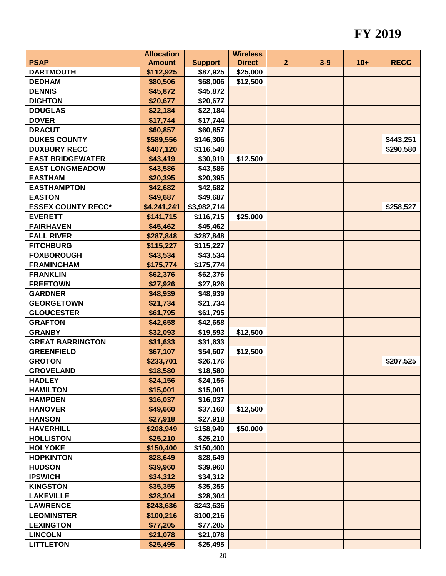|                           | <b>Allocation</b> |                | <b>Wireless</b> |                |         |       |             |
|---------------------------|-------------------|----------------|-----------------|----------------|---------|-------|-------------|
| <b>PSAP</b>               | <b>Amount</b>     | <b>Support</b> | <b>Direct</b>   | $\overline{2}$ | $3 - 9$ | $10+$ | <b>RECC</b> |
| <b>DARTMOUTH</b>          | \$112,925         | \$87,925       | \$25,000        |                |         |       |             |
| <b>DEDHAM</b>             | \$80,506          | \$68,006       | \$12,500        |                |         |       |             |
| <b>DENNIS</b>             | \$45,872          | \$45,872       |                 |                |         |       |             |
| <b>DIGHTON</b>            | \$20,677          | \$20,677       |                 |                |         |       |             |
| <b>DOUGLAS</b>            | \$22,184          | \$22,184       |                 |                |         |       |             |
| <b>DOVER</b>              | \$17,744          | \$17,744       |                 |                |         |       |             |
| <b>DRACUT</b>             | \$60,857          | \$60,857       |                 |                |         |       |             |
| <b>DUKES COUNTY</b>       | \$589,556         | \$146,306      |                 |                |         |       | \$443,251   |
| <b>DUXBURY RECC</b>       | \$407,120         | \$116,540      |                 |                |         |       | \$290,580   |
| <b>EAST BRIDGEWATER</b>   | \$43,419          | \$30,919       | \$12,500        |                |         |       |             |
| <b>EAST LONGMEADOW</b>    | \$43,586          | \$43,586       |                 |                |         |       |             |
| <b>EASTHAM</b>            | \$20,395          | \$20,395       |                 |                |         |       |             |
| <b>EASTHAMPTON</b>        | \$42,682          | \$42,682       |                 |                |         |       |             |
| <b>EASTON</b>             | \$49,687          | \$49,687       |                 |                |         |       |             |
| <b>ESSEX COUNTY RECC*</b> | \$4,241,241       | \$3,982,714    |                 |                |         |       | \$258,527   |
| <b>EVERETT</b>            | \$141,715         | \$116,715      | \$25,000        |                |         |       |             |
| <b>FAIRHAVEN</b>          | \$45,462          | \$45,462       |                 |                |         |       |             |
| <b>FALL RIVER</b>         | \$287,848         | \$287,848      |                 |                |         |       |             |
| <b>FITCHBURG</b>          | \$115,227         | \$115,227      |                 |                |         |       |             |
| <b>FOXBOROUGH</b>         | \$43,534          | \$43,534       |                 |                |         |       |             |
| <b>FRAMINGHAM</b>         | \$175,774         | \$175,774      |                 |                |         |       |             |
| <b>FRANKLIN</b>           | \$62,376          | \$62,376       |                 |                |         |       |             |
| <b>FREETOWN</b>           | \$27,926          | \$27,926       |                 |                |         |       |             |
| <b>GARDNER</b>            | \$48,939          | \$48,939       |                 |                |         |       |             |
| <b>GEORGETOWN</b>         | \$21,734          | \$21,734       |                 |                |         |       |             |
| <b>GLOUCESTER</b>         | \$61,795          | \$61,795       |                 |                |         |       |             |
| <b>GRAFTON</b>            | \$42,658          | \$42,658       |                 |                |         |       |             |
| <b>GRANBY</b>             | \$32,093          | \$19,593       | \$12,500        |                |         |       |             |
| <b>GREAT BARRINGTON</b>   | \$31,633          | \$31,633       |                 |                |         |       |             |
| <b>GREENFIELD</b>         | \$67,107          | \$54,607       | \$12,500        |                |         |       |             |
| <b>GROTON</b>             | \$233,701         | \$26,176       |                 |                |         |       | \$207,525   |
| <b>GROVELAND</b>          | \$18,580          | \$18,580       |                 |                |         |       |             |
| <b>HADLEY</b>             | \$24,156          | \$24,156       |                 |                |         |       |             |
| <b>HAMILTON</b>           | \$15,001          | \$15,001       |                 |                |         |       |             |
| <b>HAMPDEN</b>            | \$16,037          | \$16,037       |                 |                |         |       |             |
| <b>HANOVER</b>            | \$49,660          | \$37,160       | \$12,500        |                |         |       |             |
| <b>HANSON</b>             | \$27,918          | \$27,918       |                 |                |         |       |             |
| <b>HAVERHILL</b>          | \$208,949         | \$158,949      | \$50,000        |                |         |       |             |
| <b>HOLLISTON</b>          | \$25,210          | \$25,210       |                 |                |         |       |             |
| <b>HOLYOKE</b>            | \$150,400         | \$150,400      |                 |                |         |       |             |
| <b>HOPKINTON</b>          | \$28,649          | \$28,649       |                 |                |         |       |             |
| <b>HUDSON</b>             | \$39,960          | \$39,960       |                 |                |         |       |             |
| <b>IPSWICH</b>            | \$34,312          | \$34,312       |                 |                |         |       |             |
| <b>KINGSTON</b>           | \$35,355          | \$35,355       |                 |                |         |       |             |
| <b>LAKEVILLE</b>          | \$28,304          | \$28,304       |                 |                |         |       |             |
| <b>LAWRENCE</b>           | \$243,636         | \$243,636      |                 |                |         |       |             |
| <b>LEOMINSTER</b>         | \$100,216         | \$100,216      |                 |                |         |       |             |
| <b>LEXINGTON</b>          | \$77,205          | \$77,205       |                 |                |         |       |             |
| <b>LINCOLN</b>            | \$21,078          | \$21,078       |                 |                |         |       |             |
| <b>LITTLETON</b>          | \$25,495          | \$25,495       |                 |                |         |       |             |
|                           |                   |                |                 |                |         |       |             |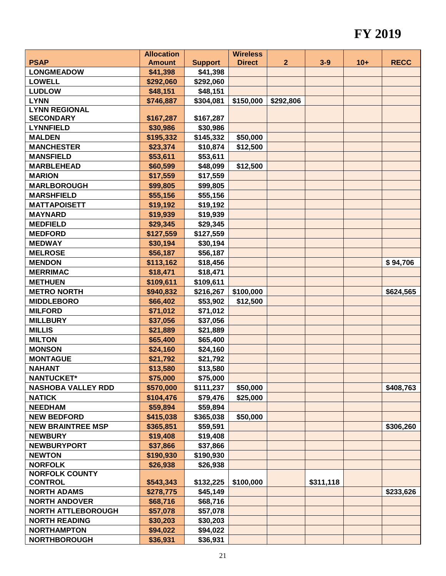|                           | <b>Allocation</b> |                | <b>Wireless</b> |              |           |       |             |
|---------------------------|-------------------|----------------|-----------------|--------------|-----------|-------|-------------|
| <b>PSAP</b>               | <b>Amount</b>     | <b>Support</b> | <b>Direct</b>   | $\mathbf{2}$ | $3-9$     | $10+$ | <b>RECC</b> |
| <b>LONGMEADOW</b>         | \$41,398          | \$41,398       |                 |              |           |       |             |
| <b>LOWELL</b>             | \$292,060         | \$292,060      |                 |              |           |       |             |
| <b>LUDLOW</b>             | \$48,151          | \$48,151       |                 |              |           |       |             |
| <b>LYNN</b>               | \$746,887         | \$304,081      | \$150,000       | \$292,806    |           |       |             |
| <b>LYNN REGIONAL</b>      |                   |                |                 |              |           |       |             |
| <b>SECONDARY</b>          | \$167,287         | \$167,287      |                 |              |           |       |             |
| <b>LYNNFIELD</b>          | \$30,986          | \$30,986       |                 |              |           |       |             |
| <b>MALDEN</b>             | \$195,332         | \$145,332      | \$50,000        |              |           |       |             |
| <b>MANCHESTER</b>         | \$23,374          | \$10,874       | \$12,500        |              |           |       |             |
| <b>MANSFIELD</b>          | \$53,611          | \$53,611       |                 |              |           |       |             |
| <b>MARBLEHEAD</b>         | \$60,599          | \$48,099       | \$12,500        |              |           |       |             |
| <b>MARION</b>             | \$17,559          | \$17,559       |                 |              |           |       |             |
| <b>MARLBOROUGH</b>        | \$99,805          | \$99,805       |                 |              |           |       |             |
| <b>MARSHFIELD</b>         | \$55,156          | \$55,156       |                 |              |           |       |             |
| <b>MATTAPOISETT</b>       | \$19,192          | \$19,192       |                 |              |           |       |             |
| <b>MAYNARD</b>            | \$19,939          | \$19,939       |                 |              |           |       |             |
| <b>MEDFIELD</b>           | \$29,345          | \$29,345       |                 |              |           |       |             |
| <b>MEDFORD</b>            | \$127,559         | \$127,559      |                 |              |           |       |             |
| <b>MEDWAY</b>             | \$30,194          | \$30,194       |                 |              |           |       |             |
| <b>MELROSE</b>            | \$56,187          | \$56,187       |                 |              |           |       |             |
| <b>MENDON</b>             | \$113,162         | \$18,456       |                 |              |           |       | \$94,706    |
| <b>MERRIMAC</b>           | \$18,471          | \$18,471       |                 |              |           |       |             |
| <b>METHUEN</b>            | \$109,611         | \$109,611      |                 |              |           |       |             |
| <b>METRO NORTH</b>        | \$940,832         | \$216,267      | \$100,000       |              |           |       | \$624,565   |
| <b>MIDDLEBORO</b>         | \$66,402          | \$53,902       | \$12,500        |              |           |       |             |
| <b>MILFORD</b>            | \$71,012          | \$71,012       |                 |              |           |       |             |
| <b>MILLBURY</b>           | \$37,056          | \$37,056       |                 |              |           |       |             |
| <b>MILLIS</b>             | \$21,889          | \$21,889       |                 |              |           |       |             |
| <b>MILTON</b>             | \$65,400          | \$65,400       |                 |              |           |       |             |
| <b>MONSON</b>             | \$24,160          | \$24,160       |                 |              |           |       |             |
| <b>MONTAGUE</b>           | \$21,792          | \$21,792       |                 |              |           |       |             |
| <b>NAHANT</b>             | \$13,580          | \$13,580       |                 |              |           |       |             |
| <b>NANTUCKET*</b>         | \$75,000          | \$75,000       |                 |              |           |       |             |
| <b>NASHOBA VALLEY RDD</b> | \$570,000         | \$111,237      | \$50,000        |              |           |       | \$408,763   |
| <b>NATICK</b>             | \$104,476         | \$79,476       | \$25,000        |              |           |       |             |
| <b>NEEDHAM</b>            | \$59,894          | \$59,894       |                 |              |           |       |             |
| <b>NEW BEDFORD</b>        | \$415,038         | \$365,038      | \$50,000        |              |           |       |             |
| <b>NEW BRAINTREE MSP</b>  | \$365,851         | \$59,591       |                 |              |           |       | \$306,260   |
| <b>NEWBURY</b>            | \$19,408          | \$19,408       |                 |              |           |       |             |
| <b>NEWBURYPORT</b>        | \$37,866          | \$37,866       |                 |              |           |       |             |
| <b>NEWTON</b>             | \$190,930         | \$190,930      |                 |              |           |       |             |
| <b>NORFOLK</b>            | \$26,938          | \$26,938       |                 |              |           |       |             |
| <b>NORFOLK COUNTY</b>     |                   |                |                 |              |           |       |             |
| <b>CONTROL</b>            | \$543,343         | \$132,225      | \$100,000       |              | \$311,118 |       |             |
| <b>NORTH ADAMS</b>        | \$278,775         | \$45,149       |                 |              |           |       | \$233,626   |
| <b>NORTH ANDOVER</b>      | \$68,716          | \$68,716       |                 |              |           |       |             |
| <b>NORTH ATTLEBOROUGH</b> | \$57,078          | \$57,078       |                 |              |           |       |             |
| <b>NORTH READING</b>      | \$30,203          | \$30,203       |                 |              |           |       |             |
| <b>NORTHAMPTON</b>        | \$94,022          | \$94,022       |                 |              |           |       |             |
| <b>NORTHBOROUGH</b>       | \$36,931          | \$36,931       |                 |              |           |       |             |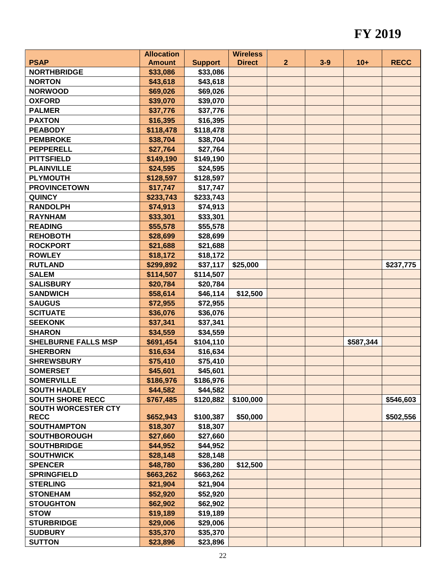|                            | <b>Allocation</b> |                | <b>Wireless</b> |                |         |           |             |
|----------------------------|-------------------|----------------|-----------------|----------------|---------|-----------|-------------|
| <b>PSAP</b>                | <b>Amount</b>     | <b>Support</b> | <b>Direct</b>   | $\overline{2}$ | $3 - 9$ | $10+$     | <b>RECC</b> |
| <b>NORTHBRIDGE</b>         | \$33,086          | \$33,086       |                 |                |         |           |             |
| <b>NORTON</b>              | \$43,618          | \$43,618       |                 |                |         |           |             |
| <b>NORWOOD</b>             | \$69,026          | \$69,026       |                 |                |         |           |             |
| <b>OXFORD</b>              | \$39,070          | \$39,070       |                 |                |         |           |             |
| <b>PALMER</b>              | \$37,776          | \$37,776       |                 |                |         |           |             |
| <b>PAXTON</b>              | \$16,395          | \$16,395       |                 |                |         |           |             |
| <b>PEABODY</b>             | \$118,478         | \$118,478      |                 |                |         |           |             |
| <b>PEMBROKE</b>            | \$38,704          | \$38,704       |                 |                |         |           |             |
| <b>PEPPERELL</b>           | \$27,764          | \$27,764       |                 |                |         |           |             |
| <b>PITTSFIELD</b>          | \$149,190         | \$149,190      |                 |                |         |           |             |
| <b>PLAINVILLE</b>          | \$24,595          | \$24,595       |                 |                |         |           |             |
| <b>PLYMOUTH</b>            | \$128,597         | \$128,597      |                 |                |         |           |             |
| <b>PROVINCETOWN</b>        | \$17,747          | \$17,747       |                 |                |         |           |             |
| <b>QUINCY</b>              | \$233,743         | \$233,743      |                 |                |         |           |             |
| <b>RANDOLPH</b>            | \$74,913          | \$74,913       |                 |                |         |           |             |
| <b>RAYNHAM</b>             | \$33,301          | \$33,301       |                 |                |         |           |             |
| <b>READING</b>             | \$55,578          | \$55,578       |                 |                |         |           |             |
| <b>REHOBOTH</b>            | \$28,699          | \$28,699       |                 |                |         |           |             |
| <b>ROCKPORT</b>            | \$21,688          | \$21,688       |                 |                |         |           |             |
| <b>ROWLEY</b>              | \$18,172          | \$18,172       |                 |                |         |           |             |
| <b>RUTLAND</b>             | \$299,892         | \$37,117       | \$25,000        |                |         |           | \$237,775   |
| <b>SALEM</b>               | \$114,507         | \$114,507      |                 |                |         |           |             |
| <b>SALISBURY</b>           | \$20,784          | \$20,784       |                 |                |         |           |             |
| <b>SANDWICH</b>            | \$58,614          | \$46,114       | \$12,500        |                |         |           |             |
| <b>SAUGUS</b>              | \$72,955          | \$72,955       |                 |                |         |           |             |
| <b>SCITUATE</b>            | \$36,076          | \$36,076       |                 |                |         |           |             |
| <b>SEEKONK</b>             | \$37,341          | \$37,341       |                 |                |         |           |             |
| <b>SHARON</b>              | \$34,559          | \$34,559       |                 |                |         |           |             |
| <b>SHELBURNE FALLS MSP</b> | \$691,454         | \$104,110      |                 |                |         | \$587,344 |             |
| <b>SHERBORN</b>            | \$16,634          | \$16,634       |                 |                |         |           |             |
| <b>SHREWSBURY</b>          | \$75,410          | \$75,410       |                 |                |         |           |             |
| <b>SOMERSET</b>            | \$45,601          | \$45,601       |                 |                |         |           |             |
| <b>SOMERVILLE</b>          | \$186,976         | \$186,976      |                 |                |         |           |             |
| <b>SOUTH HADLEY</b>        | \$44,582          | \$44,582       |                 |                |         |           |             |
| <b>SOUTH SHORE RECC</b>    | \$767,485         | \$120,882      | \$100,000       |                |         |           | \$546,603   |
| <b>SOUTH WORCESTER CTY</b> |                   |                |                 |                |         |           |             |
| <b>RECC</b>                | \$652,943         | \$100,387      | \$50,000        |                |         |           | \$502,556   |
| <b>SOUTHAMPTON</b>         | \$18,307          | \$18,307       |                 |                |         |           |             |
| <b>SOUTHBOROUGH</b>        | \$27,660          | \$27,660       |                 |                |         |           |             |
| <b>SOUTHBRIDGE</b>         | \$44,952          | \$44,952       |                 |                |         |           |             |
| <b>SOUTHWICK</b>           | \$28,148          | \$28,148       |                 |                |         |           |             |
| <b>SPENCER</b>             | \$48,780          | \$36,280       | \$12,500        |                |         |           |             |
| <b>SPRINGFIELD</b>         | \$663,262         | \$663,262      |                 |                |         |           |             |
| <b>STERLING</b>            | \$21,904          | \$21,904       |                 |                |         |           |             |
| <b>STONEHAM</b>            | \$52,920          | \$52,920       |                 |                |         |           |             |
| <b>STOUGHTON</b>           | \$62,902          | \$62,902       |                 |                |         |           |             |
| <b>STOW</b>                | \$19,189          | \$19,189       |                 |                |         |           |             |
| <b>STURBRIDGE</b>          | \$29,006          | \$29,006       |                 |                |         |           |             |
| <b>SUDBURY</b>             | \$35,370          | \$35,370       |                 |                |         |           |             |
| <b>SUTTON</b>              | \$23,896          | \$23,896       |                 |                |         |           |             |